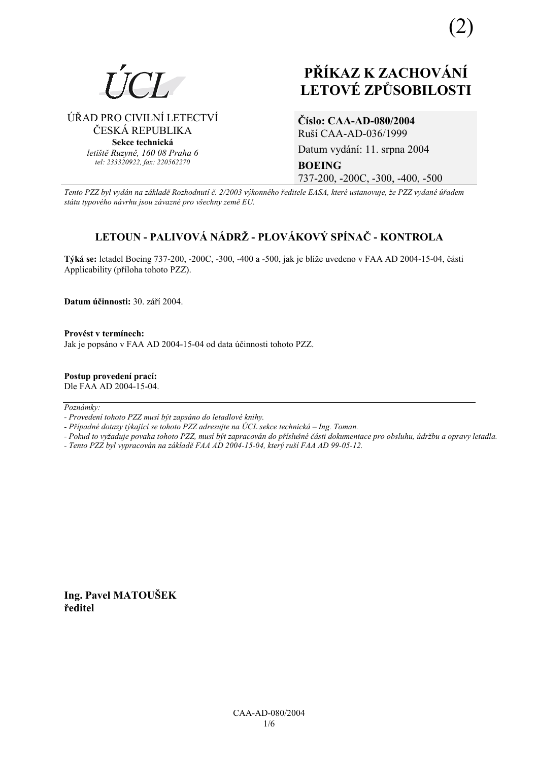

ÚŘAD PRO CIVILNÍ LETECTVÍ ČESKÁ REPUBLIKA **Sekce technická** *letiötě Ruzyně, 160 08 Praha 6 tel: 233320922, fax: 220562270*

(2)

**ČÌslo: CAA-AD-080/2004**  RuöÌ CAA-AD-036/1999

Datum vydání: 11. srpna 2004 **BOEING**  737-200, -200C, -300, -400, -500

*Tento PZZ byl vyd·n na z·kladě RozhodnutÌ č. 2/2003 v˝konnÈho ředitele EASA, kterÈ ustanovuje, ûe PZZ vydanÈ ˙řadem st·tu typovÈho n·vrhu jsou z·vaznÈ pro vöechny země EU.*

# **LETOUN - PALIVOV£ N£DRé - PLOV£KOV› SPÕNAČ - KONTROLA**

Týká se: letadel Boeing 737-200, -200C, -300, -400 a -500, jak je blíže uvedeno v FAA AD 2004-15-04, části Applicability (příloha tohoto PZZ).

Datum účinnosti: 30. září 2004.

**ProvÈst v termÌnech:**  Jak je popsáno v FAA AD 2004-15-04 od data účinnosti tohoto PZZ.

**Postup provedenÌ pracÌ:**  Dle FAA AD 2004-15-04.

 $Poznámkv:$ 

*- ProvedenÌ tohoto PZZ musÌ b˝t zaps·no do letadlovÈ knihy.* 

- Případné dotazy týkající se tohoto PZZ adresujte na ÚCL sekce technická – Ing. Toman.

*- Pokud to vyûaduje povaha tohoto PZZ, musÌ b˝t zapracov·n do přÌsluönÈ č·sti dokumentace pro obsluhu, ˙drûbu a opravy letadla.* 

*- Tento PZZ byl vypracov·n na z·kladě FAA AD 2004-15-04, kter˝ ruöÌ FAA AD 99-05-12.* 

**Ing. Pavel MATOUäEK ředitel**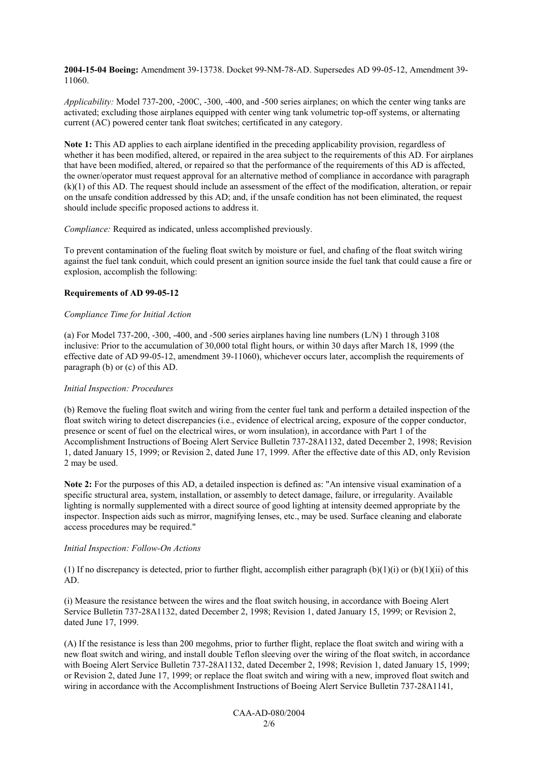**2004-15-04 Boeing:** Amendment 39-13738. Docket 99-NM-78-AD. Supersedes AD 99-05-12, Amendment 39- 11060.

*Applicability:* Model 737-200, -200C, -300, -400, and -500 series airplanes; on which the center wing tanks are activated; excluding those airplanes equipped with center wing tank volumetric top-off systems, or alternating current (AC) powered center tank float switches; certificated in any category.

**Note 1:** This AD applies to each airplane identified in the preceding applicability provision, regardless of whether it has been modified, altered, or repaired in the area subject to the requirements of this AD. For airplanes that have been modified, altered, or repaired so that the performance of the requirements of this AD is affected, the owner/operator must request approval for an alternative method of compliance in accordance with paragraph (k)(1) of this AD. The request should include an assessment of the effect of the modification, alteration, or repair on the unsafe condition addressed by this AD; and, if the unsafe condition has not been eliminated, the request should include specific proposed actions to address it.

*Compliance:* Required as indicated, unless accomplished previously.

To prevent contamination of the fueling float switch by moisture or fuel, and chafing of the float switch wiring against the fuel tank conduit, which could present an ignition source inside the fuel tank that could cause a fire or explosion, accomplish the following:

#### **Requirements of AD 99-05-12**

#### *Compliance Time for Initial Action*

(a) For Model 737-200, -300, -400, and -500 series airplanes having line numbers (L/N) 1 through 3108 inclusive: Prior to the accumulation of 30,000 total flight hours, or within 30 days after March 18, 1999 (the effective date of AD 99-05-12, amendment 39-11060), whichever occurs later, accomplish the requirements of paragraph (b) or (c) of this AD.

#### *Initial Inspection: Procedures*

(b) Remove the fueling float switch and wiring from the center fuel tank and perform a detailed inspection of the float switch wiring to detect discrepancies (i.e., evidence of electrical arcing, exposure of the copper conductor, presence or scent of fuel on the electrical wires, or worn insulation), in accordance with Part 1 of the Accomplishment Instructions of Boeing Alert Service Bulletin 737-28A1132, dated December 2, 1998; Revision 1, dated January 15, 1999; or Revision 2, dated June 17, 1999. After the effective date of this AD, only Revision 2 may be used.

**Note 2:** For the purposes of this AD, a detailed inspection is defined as: "An intensive visual examination of a specific structural area, system, installation, or assembly to detect damage, failure, or irregularity. Available lighting is normally supplemented with a direct source of good lighting at intensity deemed appropriate by the inspector. Inspection aids such as mirror, magnifying lenses, etc., may be used. Surface cleaning and elaborate access procedures may be required."

#### *Initial Inspection: Follow-On Actions*

(1) If no discrepancy is detected, prior to further flight, accomplish either paragraph  $(b)(1)(i)$  or  $(b)(1)(ii)$  of this AD.

(i) Measure the resistance between the wires and the float switch housing, in accordance with Boeing Alert Service Bulletin 737-28A1132, dated December 2, 1998; Revision 1, dated January 15, 1999; or Revision 2, dated June 17, 1999.

(A) If the resistance is less than 200 megohms, prior to further flight, replace the float switch and wiring with a new float switch and wiring, and install double Teflon sleeving over the wiring of the float switch, in accordance with Boeing Alert Service Bulletin 737-28A1132, dated December 2, 1998; Revision 1, dated January 15, 1999; or Revision 2, dated June 17, 1999; or replace the float switch and wiring with a new, improved float switch and wiring in accordance with the Accomplishment Instructions of Boeing Alert Service Bulletin 737-28A1141,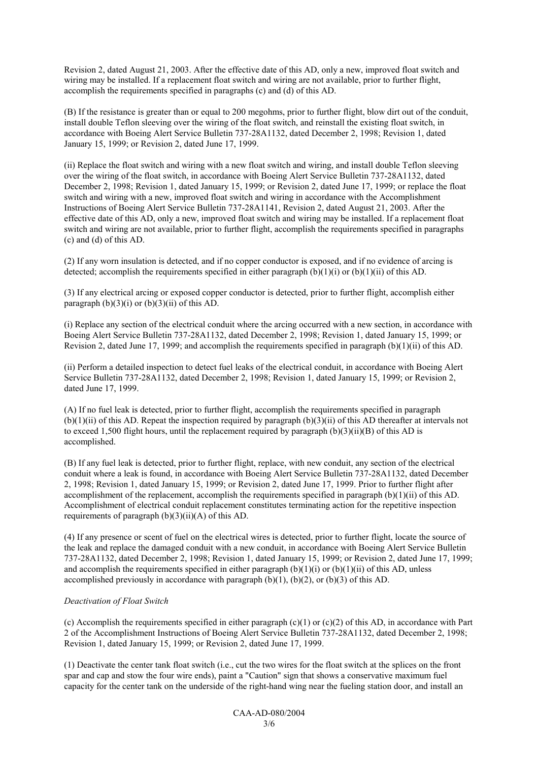Revision 2, dated August 21, 2003. After the effective date of this AD, only a new, improved float switch and wiring may be installed. If a replacement float switch and wiring are not available, prior to further flight, accomplish the requirements specified in paragraphs (c) and (d) of this AD.

(B) If the resistance is greater than or equal to 200 megohms, prior to further flight, blow dirt out of the conduit, install double Teflon sleeving over the wiring of the float switch, and reinstall the existing float switch, in accordance with Boeing Alert Service Bulletin 737-28A1132, dated December 2, 1998; Revision 1, dated January 15, 1999; or Revision 2, dated June 17, 1999.

(ii) Replace the float switch and wiring with a new float switch and wiring, and install double Teflon sleeving over the wiring of the float switch, in accordance with Boeing Alert Service Bulletin 737-28A1132, dated December 2, 1998; Revision 1, dated January 15, 1999; or Revision 2, dated June 17, 1999; or replace the float switch and wiring with a new, improved float switch and wiring in accordance with the Accomplishment Instructions of Boeing Alert Service Bulletin 737-28A1141, Revision 2, dated August 21, 2003. After the effective date of this AD, only a new, improved float switch and wiring may be installed. If a replacement float switch and wiring are not available, prior to further flight, accomplish the requirements specified in paragraphs (c) and (d) of this AD.

(2) If any worn insulation is detected, and if no copper conductor is exposed, and if no evidence of arcing is detected; accomplish the requirements specified in either paragraph  $(b)(1)(i)$  or  $(b)(1)(ii)$  of this AD.

(3) If any electrical arcing or exposed copper conductor is detected, prior to further flight, accomplish either paragraph  $(b)(3)(i)$  or  $(b)(3)(ii)$  of this AD.

(i) Replace any section of the electrical conduit where the arcing occurred with a new section, in accordance with Boeing Alert Service Bulletin 737-28A1132, dated December 2, 1998; Revision 1, dated January 15, 1999; or Revision 2, dated June 17, 1999; and accomplish the requirements specified in paragraph (b)(1)(ii) of this AD.

(ii) Perform a detailed inspection to detect fuel leaks of the electrical conduit, in accordance with Boeing Alert Service Bulletin 737-28A1132, dated December 2, 1998; Revision 1, dated January 15, 1999; or Revision 2, dated June 17, 1999.

(A) If no fuel leak is detected, prior to further flight, accomplish the requirements specified in paragraph  $(b)(1)(ii)$  of this AD. Repeat the inspection required by paragraph  $(b)(3)(ii)$  of this AD thereafter at intervals not to exceed 1,500 flight hours, until the replacement required by paragraph (b)(3)(ii)(B) of this AD is accomplished.

(B) If any fuel leak is detected, prior to further flight, replace, with new conduit, any section of the electrical conduit where a leak is found, in accordance with Boeing Alert Service Bulletin 737-28A1132, dated December 2, 1998; Revision 1, dated January 15, 1999; or Revision 2, dated June 17, 1999. Prior to further flight after accomplishment of the replacement, accomplish the requirements specified in paragraph  $(b)(1)(ii)$  of this AD. Accomplishment of electrical conduit replacement constitutes terminating action for the repetitive inspection requirements of paragraph  $(b)(3)(ii)(A)$  of this AD.

(4) If any presence or scent of fuel on the electrical wires is detected, prior to further flight, locate the source of the leak and replace the damaged conduit with a new conduit, in accordance with Boeing Alert Service Bulletin 737-28A1132, dated December 2, 1998; Revision 1, dated January 15, 1999; or Revision 2, dated June 17, 1999; and accomplish the requirements specified in either paragraph  $(b)(1)(i)$  or  $(b)(1)(ii)$  of this AD, unless accomplished previously in accordance with paragraph  $(b)(1)$ ,  $(b)(2)$ , or  $(b)(3)$  of this AD.

#### *Deactivation of Float Switch*

(c) Accomplish the requirements specified in either paragraph  $(c)(1)$  or  $(c)(2)$  of this AD, in accordance with Part 2 of the Accomplishment Instructions of Boeing Alert Service Bulletin 737-28A1132, dated December 2, 1998; Revision 1, dated January 15, 1999; or Revision 2, dated June 17, 1999.

(1) Deactivate the center tank float switch (i.e., cut the two wires for the float switch at the splices on the front spar and cap and stow the four wire ends), paint a "Caution" sign that shows a conservative maximum fuel capacity for the center tank on the underside of the right-hand wing near the fueling station door, and install an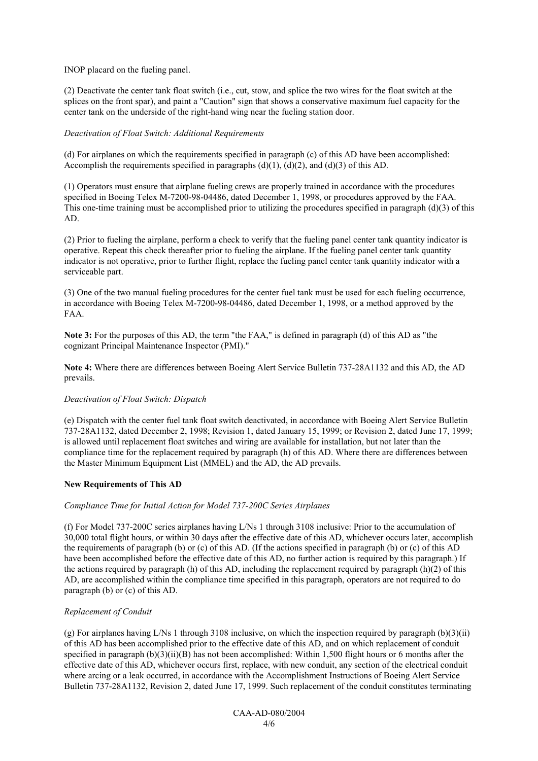## INOP placard on the fueling panel.

(2) Deactivate the center tank float switch (i.e., cut, stow, and splice the two wires for the float switch at the splices on the front spar), and paint a "Caution" sign that shows a conservative maximum fuel capacity for the center tank on the underside of the right-hand wing near the fueling station door.

## *Deactivation of Float Switch: Additional Requirements*

(d) For airplanes on which the requirements specified in paragraph (c) of this AD have been accomplished: Accomplish the requirements specified in paragraphs (d)(1), (d)(2), and (d)(3) of this AD.

(1) Operators must ensure that airplane fueling crews are properly trained in accordance with the procedures specified in Boeing Telex M-7200-98-04486, dated December 1, 1998, or procedures approved by the FAA. This one-time training must be accomplished prior to utilizing the procedures specified in paragraph  $(d)(3)$  of this AD.

(2) Prior to fueling the airplane, perform a check to verify that the fueling panel center tank quantity indicator is operative. Repeat this check thereafter prior to fueling the airplane. If the fueling panel center tank quantity indicator is not operative, prior to further flight, replace the fueling panel center tank quantity indicator with a serviceable part.

(3) One of the two manual fueling procedures for the center fuel tank must be used for each fueling occurrence, in accordance with Boeing Telex M-7200-98-04486, dated December 1, 1998, or a method approved by the FAA.

**Note 3:** For the purposes of this AD, the term "the FAA," is defined in paragraph (d) of this AD as "the cognizant Principal Maintenance Inspector (PMI)."

**Note 4:** Where there are differences between Boeing Alert Service Bulletin 737-28A1132 and this AD, the AD prevails.

#### *Deactivation of Float Switch: Dispatch*

(e) Dispatch with the center fuel tank float switch deactivated, in accordance with Boeing Alert Service Bulletin 737-28A1132, dated December 2, 1998; Revision 1, dated January 15, 1999; or Revision 2, dated June 17, 1999; is allowed until replacement float switches and wiring are available for installation, but not later than the compliance time for the replacement required by paragraph (h) of this AD. Where there are differences between the Master Minimum Equipment List (MMEL) and the AD, the AD prevails.

# **New Requirements of This AD**

#### *Compliance Time for Initial Action for Model 737-200C Series Airplanes*

(f) For Model 737-200C series airplanes having L/Ns 1 through 3108 inclusive: Prior to the accumulation of 30,000 total flight hours, or within 30 days after the effective date of this AD, whichever occurs later, accomplish the requirements of paragraph (b) or (c) of this AD. (If the actions specified in paragraph (b) or (c) of this AD have been accomplished before the effective date of this AD, no further action is required by this paragraph.) If the actions required by paragraph (h) of this AD, including the replacement required by paragraph (h)(2) of this AD, are accomplished within the compliance time specified in this paragraph, operators are not required to do paragraph (b) or (c) of this AD.

#### *Replacement of Conduit*

(g) For airplanes having L/Ns 1 through 3108 inclusive, on which the inspection required by paragraph  $(b)(3)(ii)$ of this AD has been accomplished prior to the effective date of this AD, and on which replacement of conduit specified in paragraph  $(b)(3)(ii)(B)$  has not been accomplished: Within 1,500 flight hours or 6 months after the effective date of this AD, whichever occurs first, replace, with new conduit, any section of the electrical conduit where arcing or a leak occurred, in accordance with the Accomplishment Instructions of Boeing Alert Service Bulletin 737-28A1132, Revision 2, dated June 17, 1999. Such replacement of the conduit constitutes terminating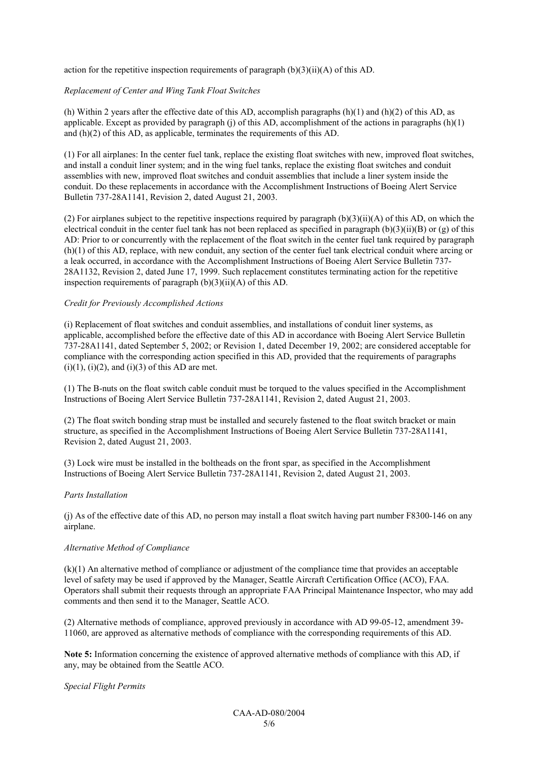action for the repetitive inspection requirements of paragraph  $(b)(3)(ii)(A)$  of this AD.

## *Replacement of Center and Wing Tank Float Switches*

(h) Within 2 years after the effective date of this AD, accomplish paragraphs  $(h)(1)$  and  $(h)(2)$  of this AD, as applicable. Except as provided by paragraph (j) of this AD, accomplishment of the actions in paragraphs  $(h)(1)$ and (h)(2) of this AD, as applicable, terminates the requirements of this AD.

(1) For all airplanes: In the center fuel tank, replace the existing float switches with new, improved float switches, and install a conduit liner system; and in the wing fuel tanks, replace the existing float switches and conduit assemblies with new, improved float switches and conduit assemblies that include a liner system inside the conduit. Do these replacements in accordance with the Accomplishment Instructions of Boeing Alert Service Bulletin 737-28A1141, Revision 2, dated August 21, 2003.

(2) For airplanes subject to the repetitive inspections required by paragraph  $(b)(3)(ii)(A)$  of this AD, on which the electrical conduit in the center fuel tank has not been replaced as specified in paragraph  $(b)(3)(ii)(B)$  or  $(g)$  of this AD: Prior to or concurrently with the replacement of the float switch in the center fuel tank required by paragraph (h)(1) of this AD, replace, with new conduit, any section of the center fuel tank electrical conduit where arcing or a leak occurred, in accordance with the Accomplishment Instructions of Boeing Alert Service Bulletin 737- 28A1132, Revision 2, dated June 17, 1999. Such replacement constitutes terminating action for the repetitive inspection requirements of paragraph  $(b)(3)(ii)(A)$  of this AD.

#### *Credit for Previously Accomplished Actions*

(i) Replacement of float switches and conduit assemblies, and installations of conduit liner systems, as applicable, accomplished before the effective date of this AD in accordance with Boeing Alert Service Bulletin 737-28A1141, dated September 5, 2002; or Revision 1, dated December 19, 2002; are considered acceptable for compliance with the corresponding action specified in this AD, provided that the requirements of paragraphs  $(i)(1)$ ,  $(i)(2)$ , and  $(i)(3)$  of this AD are met.

(1) The B-nuts on the float switch cable conduit must be torqued to the values specified in the Accomplishment Instructions of Boeing Alert Service Bulletin 737-28A1141, Revision 2, dated August 21, 2003.

(2) The float switch bonding strap must be installed and securely fastened to the float switch bracket or main structure, as specified in the Accomplishment Instructions of Boeing Alert Service Bulletin 737-28A1141, Revision 2, dated August 21, 2003.

(3) Lock wire must be installed in the boltheads on the front spar, as specified in the Accomplishment Instructions of Boeing Alert Service Bulletin 737-28A1141, Revision 2, dated August 21, 2003.

#### *Parts Installation*

(j) As of the effective date of this AD, no person may install a float switch having part number F8300-146 on any airplane.

#### *Alternative Method of Compliance*

(k)(1) An alternative method of compliance or adjustment of the compliance time that provides an acceptable level of safety may be used if approved by the Manager, Seattle Aircraft Certification Office (ACO), FAA. Operators shall submit their requests through an appropriate FAA Principal Maintenance Inspector, who may add comments and then send it to the Manager, Seattle ACO.

(2) Alternative methods of compliance, approved previously in accordance with AD 99-05-12, amendment 39- 11060, are approved as alternative methods of compliance with the corresponding requirements of this AD.

**Note 5:** Information concerning the existence of approved alternative methods of compliance with this AD, if any, may be obtained from the Seattle ACO.

#### *Special Flight Permits*